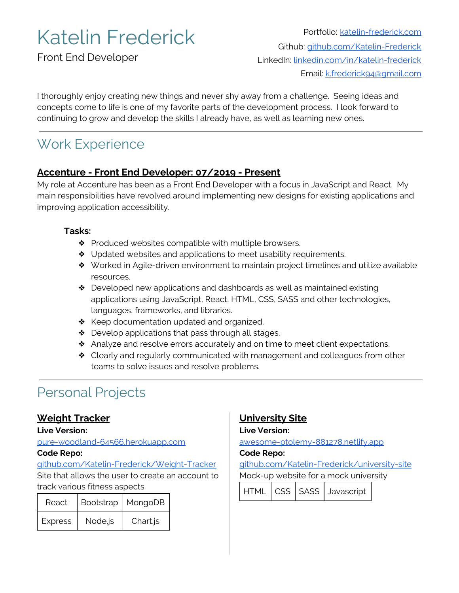# Katelin Frederick

Front End Developer

Portfolio: [katelin-frederick.com](https://www.katelin-frederick.com/) Github: [github.com/Katelin-Frederick](https://github.com/Katelin-Frederick) LinkedIn: [linkedin.com/in/katelin-frederick](https://www.linkedin.com/in/katelin-frederick/) Email: [k.frederick94@gmail.com](mailto:k.frederick94@gmail.com)

I thoroughly enjoy creating new things and never shy away from a challenge. Seeing ideas and concepts come to life is one of my favorite parts of the development process. I look forward to continuing to grow and develop the skills I already have, as well as learning new ones.

## Work Experience

### **Accenture - Front End Developer: 07/2019 - Present**

My role at Accenture has been as a Front End Developer with a focus in JavaScript and React. My main responsibilities have revolved around implementing new designs for existing applications and improving application accessibility.

#### **Tasks:**

- ❖ Produced websites compatible with multiple browsers.
- ❖ Updated websites and applications to meet usability requirements.
- ❖ Worked in Agile-driven environment to maintain project timelines and utilize available resources.
- ❖ Developed new applications and dashboards as well as maintained existing applications using JavaScript, React, HTML, CSS, SASS and other technologies, languages, frameworks, and libraries.
- ❖ Keep documentation updated and organized.
- ❖ Develop applications that pass through all stages.
- ❖ Analyze and resolve errors accurately and on time to meet client expectations.
- ❖ Clearly and regularly communicated with management and colleagues from other teams to solve issues and resolve problems.

## Personal Projects

### **Weight Tracker**

#### **Live Version:**

[pure-woodland-64566.herokuapp.com](https://pure-woodland-64566.herokuapp.com/)

#### **Code Repo:**

[github.com/Katelin-Frederick/Weight-Tracker](http://github.com/Katelin-Frederick/Weight-Tracker) Site that allows the user to create an account to track various fitness aspects

| React          |         | Bootstrap   MongoDB |
|----------------|---------|---------------------|
| <b>Express</b> | Node.js | Chart.js            |

## **University Site**

**Live Version:**

[awesome-ptolemy-881278.netlify.app](https://awesome-ptolemy-881278.netlify.app/)

#### **Code Repo:**

[github.com/Katelin-Frederick/university-site](https://github.com/Katelin-Frederick/university-site) Mock-up website for a mock university

| HTML   CSS   SASS   Javascript |  |  |
|--------------------------------|--|--|
|--------------------------------|--|--|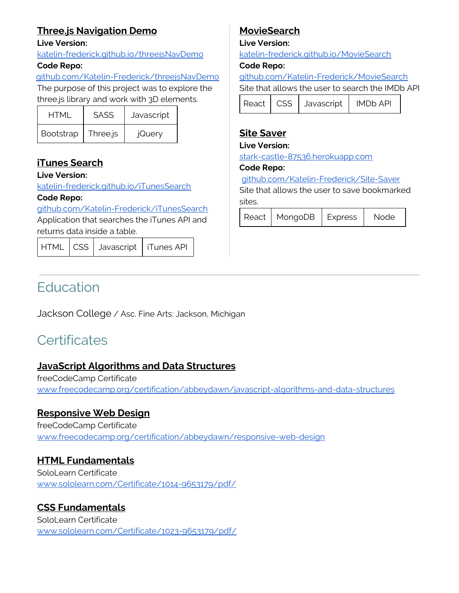## **Three.js Navigation Demo**

#### **Live Version:**

[katelin-frederick.github.io/threejsNavDemo](https://katelin-frederick.github.io/threejsNavDemo/)

#### **Code Repo:**

[github.com/Katelin-Frederick/threejsNavDemo](https://github.com/Katelin-Frederick/threejsNavDemo)

The purpose of this project was to explore the three.js library and work with 3D elements.

| <b>HTMI</b>      | <b>SASS</b> | Javascript |
|------------------|-------------|------------|
| <b>Bootstrap</b> | Three.js    | jQuery     |

## **iTunes Search**

#### **Live Version:**

[katelin-frederick.github.io/iTunesSearch](https://katelin-frederick.github.io/iTunesSearch/)

#### **Code Repo:**

[github.com/Katelin-Frederick/iTunesSearch](https://github.com/Katelin-Frederick/iTunesSearch) Application that searches the iTunes API and returns data inside a table.

HTML CSS Javascript | iTunes API

## **MovieSearch**

#### **Live Version:**

[katelin-frederick.github.io/MovieSearch](https://katelin-frederick.github.io/MovieSearch/)

#### **Code Repo:**

[github.com/Katelin-Frederick/MovieSearch](https://github.com/Katelin-Frederick/MovieSearch)

Site that allows the user to search the IMDb API

| React   CSS   Javascript |  |  | <b>IMDb API</b> |
|--------------------------|--|--|-----------------|
|--------------------------|--|--|-----------------|

### **Site Saver**

#### **Live Version:**

[stark-castle-87536.herokuapp.com](https://stark-castle-87536.herokuapp.com/)

#### **Code Repo:**

[github.com/Katelin-Frederick/Site-Saver](https://github.com/Katelin-Frederick/Site-Saver)

Site that allows the user to save bookmarked sites.

| React   MongoDB   Express | Node |
|---------------------------|------|

## **Education**

Jackson College / Asc. Fine Arts: Jackson, Michigan

## **Certificates**

### **JavaScript Algorithms and Data Structures**

freeCodeCamp Certificate [www.freecodecamp.org/certification/abbeydawn/javascript-algorithms-and-data-structures](https://www.freecodecamp.org/certification/abbeydawn/javascript-algorithms-and-data-structures)

## **Responsive Web Design**

freeCodeCamp Certificate [www.freecodecamp.org/certification/abbeydawn/responsive-web-design](https://www.freecodecamp.org/certification/abbeydawn/responsive-web-design)

## **HTML Fundamentals**

SoloLearn Certificate [www.sololearn.com/Certificate/1014-9653179/pdf/](https://www.sololearn.com/Certificate/1014-9653179/pdf/)

## **CSS Fundamentals**

SoloLearn Certificate [www.sololearn.com/Certificate/1023-9653179/pdf/](https://www.sololearn.com/Certificate/1023-9653179/pdf/)